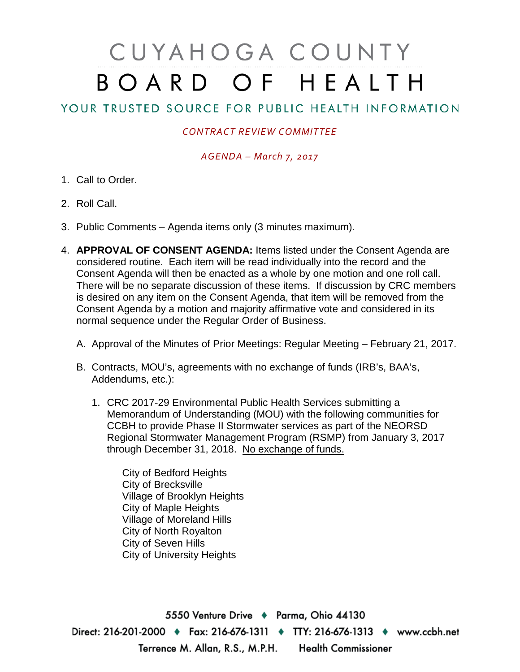# CUYAHOGA COUNTY BOARD OF HEALTH

# YOUR TRUSTED SOURCE FOR PUBLIC HEALTH INFORMATION

## *CONTRACT REVIEW COMMITTEE*

#### *AGENDA – March 7, 2017*

- 1. Call to Order.
- 2. Roll Call.
- 3. Public Comments Agenda items only (3 minutes maximum).
- 4. **APPROVAL OF CONSENT AGENDA:** Items listed under the Consent Agenda are considered routine. Each item will be read individually into the record and the Consent Agenda will then be enacted as a whole by one motion and one roll call. There will be no separate discussion of these items. If discussion by CRC members is desired on any item on the Consent Agenda, that item will be removed from the Consent Agenda by a motion and majority affirmative vote and considered in its normal sequence under the Regular Order of Business.
	- A. Approval of the Minutes of Prior Meetings: Regular Meeting February 21, 2017.
	- B. Contracts, MOU's, agreements with no exchange of funds (IRB's, BAA's, Addendums, etc.):
		- 1. CRC 2017-29 Environmental Public Health Services submitting a Memorandum of Understanding (MOU) with the following communities for CCBH to provide Phase II Stormwater services as part of the NEORSD Regional Stormwater Management Program (RSMP) from January 3, 2017 through December 31, 2018. No exchange of funds.

City of Bedford Heights City of Brecksville Village of Brooklyn Heights City of Maple Heights Village of Moreland Hills City of North Royalton City of Seven Hills City of University Heights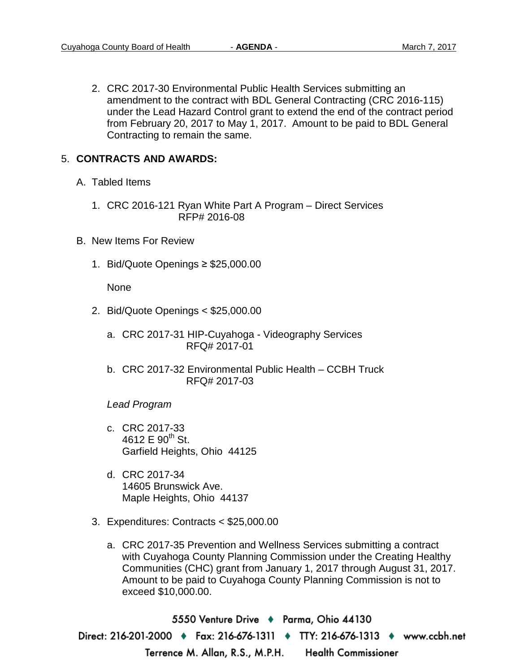2. CRC 2017-30 Environmental Public Health Services submitting an amendment to the contract with BDL General Contracting (CRC 2016-115) under the Lead Hazard Control grant to extend the end of the contract period from February 20, 2017 to May 1, 2017. Amount to be paid to BDL General Contracting to remain the same.

### 5. **CONTRACTS AND AWARDS:**

- A. Tabled Items
	- 1. CRC 2016-121 Ryan White Part A Program Direct Services RFP# 2016-08
- B. New Items For Review
	- 1. Bid/Quote Openings ≥ \$25,000.00

None

- 2. Bid/Quote Openings < \$25,000.00
	- a. CRC 2017-31 HIP-Cuyahoga Videography Services RFQ# 2017-01
	- b. CRC 2017-32 Environmental Public Health CCBH Truck RFQ# 2017-03

*Lead Program*

- c. CRC 2017-33 4612 E  $90^{th}$  St. Garfield Heights, Ohio 44125
- d. CRC 2017-34 14605 Brunswick Ave. Maple Heights, Ohio 44137
- 3. Expenditures: Contracts < \$25,000.00
	- a. CRC 2017-35 Prevention and Wellness Services submitting a contract with Cuyahoga County Planning Commission under the Creating Healthy Communities (CHC) grant from January 1, 2017 through August 31, 2017. Amount to be paid to Cuyahoga County Planning Commission is not to exceed \$10,000.00.

5550 Venture Drive + Parma, Ohio 44130 Direct: 216-201-2000 ♦ Fax: 216-676-1311 ♦ TTY: 216-676-1313 ♦ www.ccbh.net Terrence M. Allan, R.S., M.P.H. Health Commissioner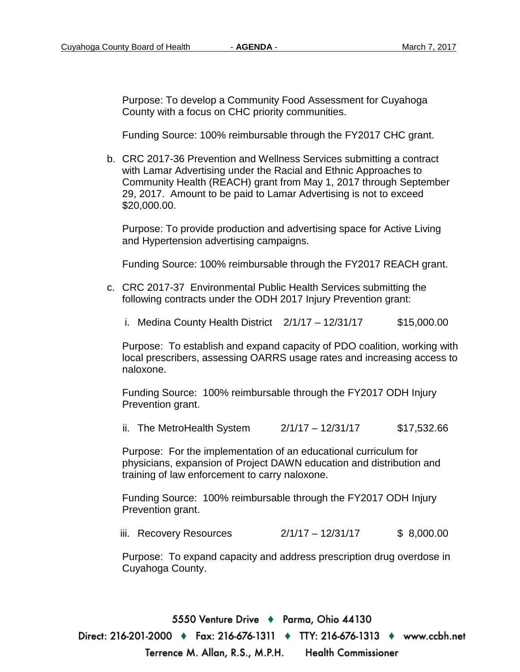Purpose: To develop a Community Food Assessment for Cuyahoga County with a focus on CHC priority communities.

Funding Source: 100% reimbursable through the FY2017 CHC grant.

b. CRC 2017-36 Prevention and Wellness Services submitting a contract with Lamar Advertising under the Racial and Ethnic Approaches to Community Health (REACH) grant from May 1, 2017 through September 29, 2017. Amount to be paid to Lamar Advertising is not to exceed \$20,000.00.

Purpose: To provide production and advertising space for Active Living and Hypertension advertising campaigns.

Funding Source: 100% reimbursable through the FY2017 REACH grant.

- c. CRC 2017-37 Environmental Public Health Services submitting the following contracts under the ODH 2017 Injury Prevention grant:
	- i. Medina County Health District  $2/1/17 12/31/17$  \$15,000.00

Purpose: To establish and expand capacity of PDO coalition, working with local prescribers, assessing OARRS usage rates and increasing access to naloxone.

Funding Source: 100% reimbursable through the FY2017 ODH Injury Prevention grant.

ii. The MetroHealth System  $2/1/17 - 12/31/17$  \$17,532.66

Purpose: For the implementation of an educational curriculum for physicians, expansion of Project DAWN education and distribution and training of law enforcement to carry naloxone.

Funding Source: 100% reimbursable through the FY2017 ODH Injury Prevention grant.

iii. Recovery Resources 2/1/17 – 12/31/17 \$ 8,000.00

Purpose: To expand capacity and address prescription drug overdose in Cuyahoga County.

5550 Venture Drive + Parma, Ohio 44130 Direct: 216-201-2000 ♦ Fax: 216-676-1311 ♦ TTY: 216-676-1313 ♦ www.ccbh.net Terrence M. Allan, R.S., M.P.H. Health Commissioner